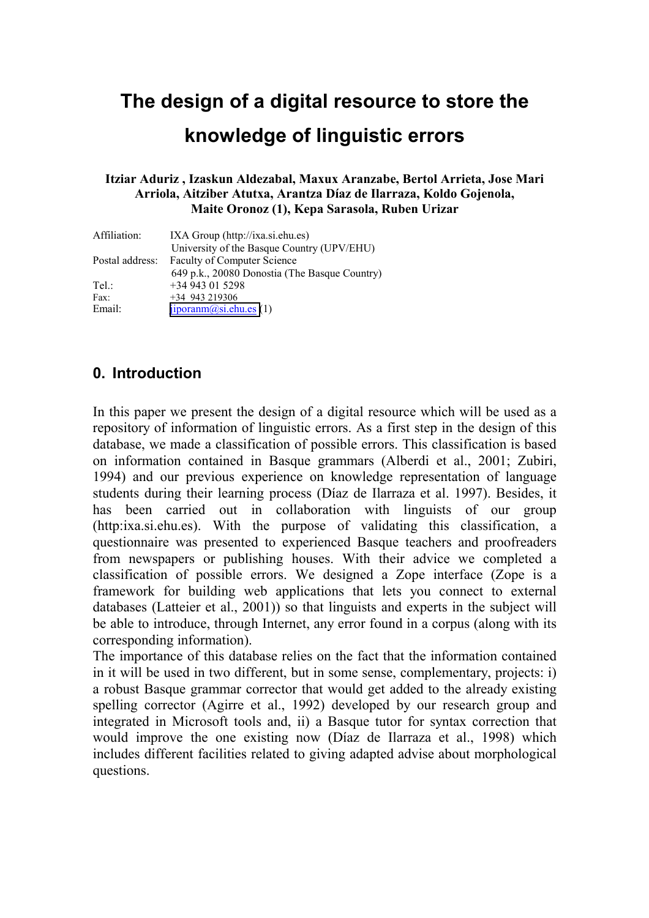# **The design of a digital resource to store the knowledge of linguistic errors**

#### **Itziar Aduriz , Izaskun Aldezabal, Maxux Aranzabe, Bertol Arrieta, Jose Mari Arriola, Aitziber Atutxa, Arantza Díaz de Ilarraza, Koldo Gojenola, Maite Oronoz (1), Kepa Sarasola, Ruben Urizar**

| Affiliation:    | IXA Group $(http://ixa.si.ehu.es)$            |
|-----------------|-----------------------------------------------|
|                 | University of the Basque Country (UPV/EHU)    |
| Postal address: | <b>Faculty of Computer Science</b>            |
|                 | 649 p.k., 20080 Donostia (The Basque Country) |
| Tel:            | $+34943015298$                                |
| Fax:            | $+34$ 943 219306                              |
| Email:          | $\overline{\text{jiporann}(a)}$ si.ehu.es (1) |

#### **0. Introduction**

In this paper we present the design of a digital resource which will be used as a repository of information of linguistic errors. As a first step in the design of this database, we made a classification of possible errors. This classification is based on information contained in Basque grammars (Alberdi et al., 2001; Zubiri, 1994) and our previous experience on knowledge representation of language students during their learning process (Díaz de Ilarraza et al. 1997). Besides, it has been carried out in collaboration with linguists of our group (http:ixa.si.ehu.es). With the purpose of validating this classification, a questionnaire was presented to experienced Basque teachers and proofreaders from newspapers or publishing houses. With their advice we completed a classification of possible errors. We designed a Zope interface (Zope is a framework for building web applications that lets you connect to external databases (Latteier et al., 2001)) so that linguists and experts in the subject will be able to introduce, through Internet, any error found in a corpus (along with its corresponding information).

The importance of this database relies on the fact that the information contained in it will be used in two different, but in some sense, complementary, projects: i) a robust Basque grammar corrector that would get added to the already existing spelling corrector (Agirre et al., 1992) developed by our research group and integrated in Microsoft tools and, ii) a Basque tutor for syntax correction that would improve the one existing now (Díaz de Ilarraza et al., 1998) which includes different facilities related to giving adapted advise about morphological questions.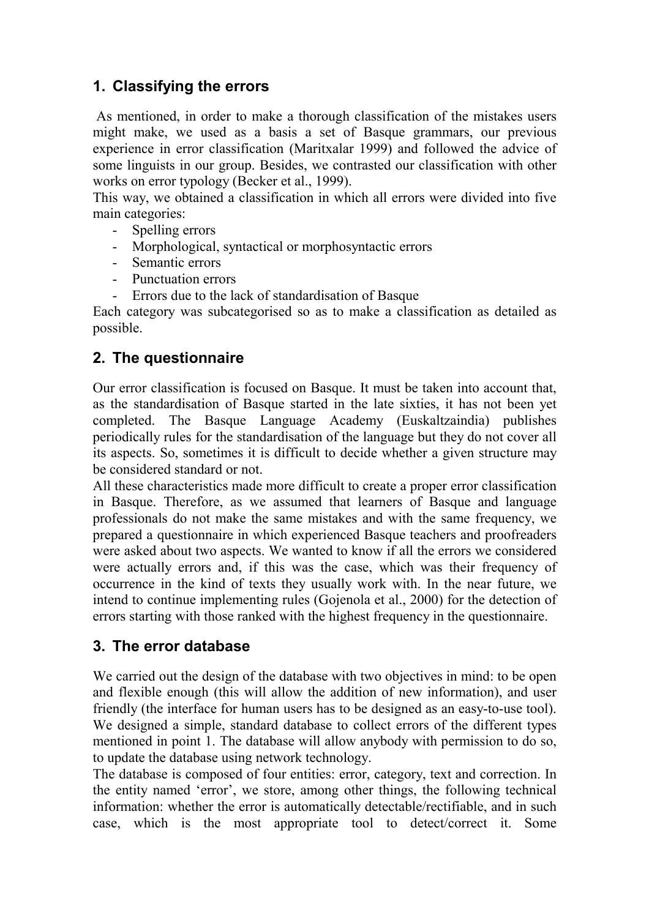### **1. Classifying the errors**

 As mentioned, in order to make a thorough classification of the mistakes users might make, we used as a basis a set of Basque grammars, our previous experience in error classification (Maritxalar 1999) and followed the advice of some linguists in our group. Besides, we contrasted our classification with other works on error typology (Becker et al., 1999).

This way, we obtained a classification in which all errors were divided into five main categories:

- Spelling errors
- Morphological, syntactical or morphosyntactic errors
- Semantic errors
- Punctuation errors
- Errors due to the lack of standardisation of Basque

Each category was subcategorised so as to make a classification as detailed as possible.

## **2. The questionnaire**

Our error classification is focused on Basque. It must be taken into account that, as the standardisation of Basque started in the late sixties, it has not been yet completed. The Basque Language Academy (Euskaltzaindia) publishes periodically rules for the standardisation of the language but they do not cover all its aspects. So, sometimes it is difficult to decide whether a given structure may be considered standard or not.

All these characteristics made more difficult to create a proper error classification in Basque. Therefore, as we assumed that learners of Basque and language professionals do not make the same mistakes and with the same frequency, we prepared a questionnaire in which experienced Basque teachers and proofreaders were asked about two aspects. We wanted to know if all the errors we considered were actually errors and, if this was the case, which was their frequency of occurrence in the kind of texts they usually work with. In the near future, we intend to continue implementing rules (Gojenola et al., 2000) for the detection of errors starting with those ranked with the highest frequency in the questionnaire.

### **3. The error database**

We carried out the design of the database with two objectives in mind: to be open and flexible enough (this will allow the addition of new information), and user friendly (the interface for human users has to be designed as an easy-to-use tool). We designed a simple, standard database to collect errors of the different types mentioned in point 1. The database will allow anybody with permission to do so, to update the database using network technology.

The database is composed of four entities: error, category, text and correction. In the entity named 'error', we store, among other things, the following technical information: whether the error is automatically detectable/rectifiable, and in such case, which is the most appropriate tool to detect/correct it. Some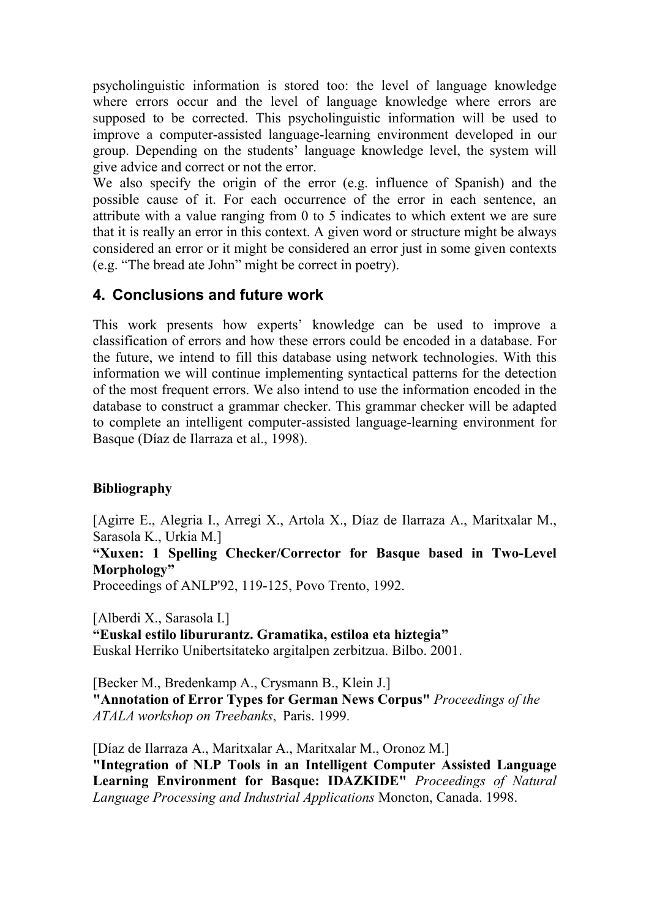psycholinguistic information is stored too: the level of language knowledge where errors occur and the level of language knowledge where errors are supposed to be corrected. This psycholinguistic information will be used to improve a computer-assisted language-learning environment developed in our group. Depending on the students' language knowledge level, the system will give advice and correct or not the error.

We also specify the origin of the error (e.g. influence of Spanish) and the possible cause of it. For each occurrence of the error in each sentence, an attribute with a value ranging from 0 to 5 indicates to which extent we are sure that it is really an error in this context. A given word or structure might be always considered an error or it might be considered an error just in some given contexts (e.g. "The bread ate John" might be correct in poetry).

#### **4. Conclusions and future work**

This work presents how experts' knowledge can be used to improve a classification of errors and how these errors could be encoded in a database. For the future, we intend to fill this database using network technologies. With this information we will continue implementing syntactical patterns for the detection of the most frequent errors. We also intend to use the information encoded in the database to construct a grammar checker. This grammar checker will be adapted to complete an intelligent computer-assisted language-learning environment for Basque (Díaz de Ilarraza et al., 1998).

#### **Bibliography**

[Agirre E., Alegria I., Arregi X., Artola X., Díaz de Ilarraza A., Maritxalar M., Sarasola K., Urkia M.]

**"Xuxen: 1 Spelling Checker/Corrector for Basque based in Two-Level Morphology"** 

Proceedings of ANLP'92, 119-125, Povo Trento, 1992.

[Alberdi X., Sarasola I.] **"Euskal estilo libururantz. Gramatika, estiloa eta hiztegia"**  Euskal Herriko Unibertsitateko argitalpen zerbitzua. Bilbo. 2001.

[Becker M., Bredenkamp A., Crysmann B., Klein J.] **"Annotation of Error Types for German News Corpus"** *Proceedings of the ATALA workshop on Treebanks*, Paris. 1999.

[Díaz de Ilarraza A., Maritxalar A., Maritxalar M., Oronoz M.] **"Integration of NLP Tools in an Intelligent Computer Assisted Language Learning Environment for Basque: IDAZKIDE"** *Proceedings of Natural Language Processing and Industrial Applications* Moncton, Canada. 1998.